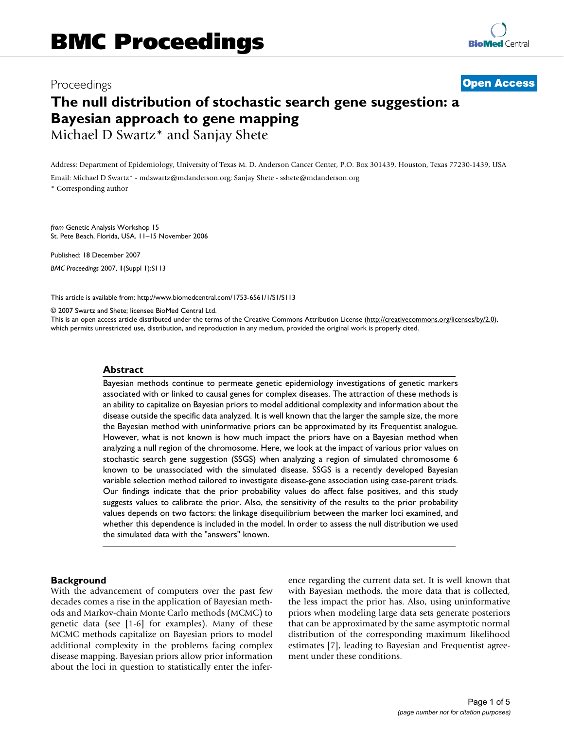# Proceedings **[Open Access](http://www.biomedcentral.com/info/about/charter/) The null distribution of stochastic search gene suggestion: a Bayesian approach to gene mapping** Michael D Swartz\* and Sanjay Shete

Address: Department of Epidemiology, University of Texas M. D. Anderson Cancer Center, P.O. Box 301439, Houston, Texas 77230-1439, USA

Email: Michael D Swartz\* - mdswartz@mdanderson.org; Sanjay Shete - sshete@mdanderson.org

\* Corresponding author

*from* Genetic Analysis Workshop 15 St. Pete Beach, Florida, USA. 11–15 November 2006

Published: 18 December 2007 *BMC Proceedings* 2007, **1**(Suppl 1):S113

[This article is available from: http://www.biomedcentral.com/1753-6561/1/S1/S113](http://www.biomedcentral.com/1753-6561/1/S1/S113)

© 2007 Swartz and Shete; licensee BioMed Central Ltd.

This is an open access article distributed under the terms of the Creative Commons Attribution License [\(http://creativecommons.org/licenses/by/2.0\)](http://creativecommons.org/licenses/by/2.0), which permits unrestricted use, distribution, and reproduction in any medium, provided the original work is properly cited.

#### **Abstract**

Bayesian methods continue to permeate genetic epidemiology investigations of genetic markers associated with or linked to causal genes for complex diseases. The attraction of these methods is an ability to capitalize on Bayesian priors to model additional complexity and information about the disease outside the specific data analyzed. It is well known that the larger the sample size, the more the Bayesian method with uninformative priors can be approximated by its Frequentist analogue. However, what is not known is how much impact the priors have on a Bayesian method when analyzing a null region of the chromosome. Here, we look at the impact of various prior values on stochastic search gene suggestion (SSGS) when analyzing a region of simulated chromosome 6 known to be unassociated with the simulated disease. SSGS is a recently developed Bayesian variable selection method tailored to investigate disease-gene association using case-parent triads. Our findings indicate that the prior probability values do affect false positives, and this study suggests values to calibrate the prior. Also, the sensitivity of the results to the prior probability values depends on two factors: the linkage disequilibrium between the marker loci examined, and whether this dependence is included in the model. In order to assess the null distribution we used the simulated data with the "answers" known.

#### **Background**

With the advancement of computers over the past few decades comes a rise in the application of Bayesian methods and Markov-chain Monte Carlo methods (MCMC) to genetic data (see [1-6] for examples). Many of these MCMC methods capitalize on Bayesian priors to model additional complexity in the problems facing complex disease mapping. Bayesian priors allow prior information about the loci in question to statistically enter the inference regarding the current data set. It is well known that with Bayesian methods, the more data that is collected, the less impact the prior has. Also, using uninformative priors when modeling large data sets generate posteriors that can be approximated by the same asymptotic normal distribution of the corresponding maximum likelihood estimates [7], leading to Bayesian and Frequentist agreement under these conditions.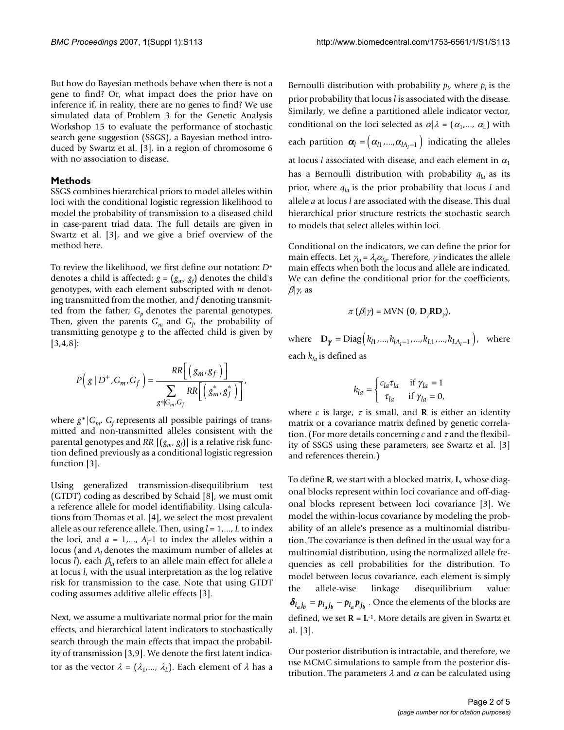But how do Bayesian methods behave when there is not a gene to find? Or, what impact does the prior have on inference if, in reality, there are no genes to find? We use simulated data of Problem 3 for the Genetic Analysis Workshop 15 to evaluate the performance of stochastic search gene suggestion (SSGS), a Bayesian method introduced by Swartz et al. [3], in a region of chromosome 6 with no association to disease.

#### **Methods**

SSGS combines hierarchical priors to model alleles within loci with the conditional logistic regression likelihood to model the probability of transmission to a diseased child in case-parent triad data. The full details are given in Swartz et al. [3], and we give a brief overview of the method here.

To review the likelihood, we first define our notation: *D*<sup>+</sup> denotes a child is affected; *g* = (*gm*, *gf* ) denotes the child's genotypes, with each element subscripted with *m* denoting transmitted from the mother, and *f* denoting transmitted from the father;  $G_p$  denotes the parental genotypes. Then, given the parents  $G_m$  and  $G_f$  the probability of transmitting genotype *g* to the affected child is given by [3,4,8]:

$$
P(g | D^+, G_m, G_f) = \frac{RR[(g_m, g_f)]}{\sum_{g \neq [G_m, G_f]} RR[(g_m^*, g_f^*)]}'
$$

where  $g^*|G_m$ ,  $G_f$  represents all possible pairings of transmitted and non-transmitted alleles consistent with the parental genotypes and *RR* [(*gm*, *gf* )] is a relative risk function defined previously as a conditional logistic regression function [3].

Using generalized transmission-disequilibrium test (GTDT) coding as described by Schaid [8], we must omit a reference allele for model identifiability. Using calculations from Thomas et al. [4], we select the most prevalent allele as our reference allele. Then, using  $l = 1, ..., L$  to index the loci, and  $a = 1,..., A<sub>l</sub>$ -1 to index the alleles within a locus (and *Al* denotes the maximum number of alleles at locus *l*), each β*la* refers to an allele main effect for allele *a* at locus *l*, with the usual interpretation as the log relative risk for transmission to the case. Note that using GTDT coding assumes additive allelic effects [3].

Next, we assume a multivariate normal prior for the main effects, and hierarchical latent indicators to stochastically search through the main effects that impact the probability of transmission [3,9]. We denote the first latent indicator as the vector  $\lambda = (\lambda_1, ..., \lambda_L)$ . Each element of  $\lambda$  has a

Bernoulli distribution with probability  $p_{\mu}$  where  $p_{\mu}$  is the prior probability that locus *l* is associated with the disease. Similarly, we define a partitioned allele indicator vector, conditional on the loci selected as  $\alpha | \lambda = (\alpha_1, ..., \alpha_n)$  with each partition  $\boldsymbol{\alpha}_l = (\alpha_{l1}, ..., \alpha_{lA_l-1})$  indicating the alleles at locus *l* associated with disease, and each element in  $\alpha_1$ has a Bernoulli distribution with probability *qla* as its prior, where *qla* is the prior probability that locus *l* and allele *a* at locus *l* are associated with the disease. This dual hierarchical prior structure restricts the stochastic search to models that select alleles within loci.

Conditional on the indicators, we can define the prior for main effects. Let  $\gamma_{la} = \lambda_l \alpha_{la}$ . Therefore,  $\gamma$  indicates the allele main effects when both the locus and allele are indicated. We can define the conditional prior for the coefficients,  $\beta$ |*γ*, as

$$
\pi\left(\beta|\gamma\right) = \text{MVN } \left(\mathbf{0}, \, \mathbf{D}_{\gamma} \mathbf{R} \mathbf{D}_{\gamma}\right),
$$

where  $D_{\gamma} = \text{Diag} (k_{l1}, ..., k_{lA_l-1}, ..., k_{L1}, ..., k_{LA_l-1})$ , where each *kla* is defined as

$$
k_{la} = \begin{cases} c_{la} \tau_{la} & \text{if } \gamma_{la} = 1 \\ \tau_{la} & \text{if } \gamma_{la} = 0, \end{cases}
$$

where  $c$  is large,  $\tau$  is small, and **R** is either an identity matrix or a covariance matrix defined by genetic correlation. (For more details concerning *c* and <sup>τ</sup> and the flexibility of SSGS using these parameters, see Swartz et al. [3] and references therein.)

To define **R**, we start with a blocked matrix, **L**, whose diagonal blocks represent within loci covariance and off-diagonal blocks represent between loci covariance [3]. We model the within-locus covariance by modeling the probability of an allele's presence as a multinomial distribution. The covariance is then defined in the usual way for a multinomial distribution, using the normalized allele frequencies as cell probabilities for the distribution. To model between locus covariance, each element is simply the allele-wise linkage disequilibrium value:  $\delta_{i_a j_b} = p_{i_a j_b} - p_{i_a} p_{j_b}$  . Once the elements of the blocks are defined, we set  $R = L^{-1}$ . More details are given in Swartz et al. [3].

Our posterior distribution is intractable, and therefore, we use MCMC simulations to sample from the posterior distribution. The parameters  $\lambda$  and  $\alpha$  can be calculated using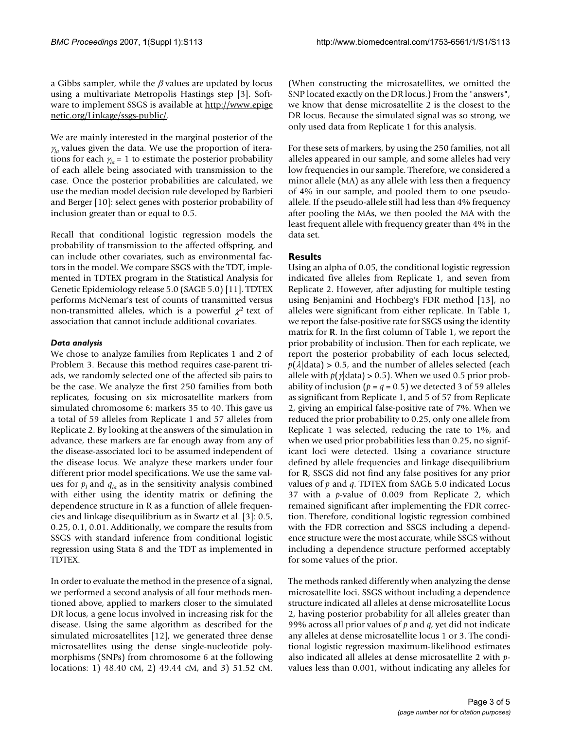a Gibbs sampler, while the  $\beta$  values are updated by locus using a multivariate Metropolis Hastings step [3]. Software to implement SSGS is available at [http://www.epige](http://www.epigenetic.org/Linkage/ssgs-public/) [netic.org/Linkage/ssgs-public/.](http://www.epigenetic.org/Linkage/ssgs-public/)

We are mainly interested in the marginal posterior of the <sup>γ</sup>*la* values given the data. We use the proportion of iterations for each  $\gamma_a = 1$  to estimate the posterior probability of each allele being associated with transmission to the case. Once the posterior probabilities are calculated, we use the median model decision rule developed by Barbieri and Berger [10]: select genes with posterior probability of inclusion greater than or equal to 0.5.

Recall that conditional logistic regression models the probability of transmission to the affected offspring, and can include other covariates, such as environmental factors in the model. We compare SSGS with the TDT, implemented in TDTEX program in the Statistical Analysis for Genetic Epidemiology release 5.0 (SAGE 5.0) [11]. TDTEX performs McNemar's test of counts of transmitted versus non-transmitted alleles, which is a powerful  $\chi^2$  text of association that cannot include additional covariates.

### *Data analysis*

We chose to analyze families from Replicates 1 and 2 of Problem 3. Because this method requires case-parent triads, we randomly selected one of the affected sib pairs to be the case. We analyze the first 250 families from both replicates, focusing on six microsatellite markers from simulated chromosome 6: markers 35 to 40. This gave us a total of 59 alleles from Replicate 1 and 57 alleles from Replicate 2. By looking at the answers of the simulation in advance, these markers are far enough away from any of the disease-associated loci to be assumed independent of the disease locus. We analyze these markers under four different prior model specifications. We use the same values for  $p_l$  and  $q_{la}$  as in the sensitivity analysis combined with either using the identity matrix or defining the dependence structure in R as a function of allele frequencies and linkage disequilibrium as in Swartz et al. [3]: 0.5, 0.25, 0.1, 0.01. Additionally, we compare the results from SSGS with standard inference from conditional logistic regression using Stata 8 and the TDT as implemented in TDTEX.

In order to evaluate the method in the presence of a signal, we performed a second analysis of all four methods mentioned above, applied to markers closer to the simulated DR locus, a gene locus involved in increasing risk for the disease. Using the same algorithm as described for the simulated microsatellites [12], we generated three dense microsatellites using the dense single-nucleotide polymorphisms (SNPs) from chromosome 6 at the following locations: 1) 48.40 cM, 2) 49.44 cM, and 3) 51.52 cM.

(When constructing the microsatellites, we omitted the SNP located exactly on the DR locus.) From the "answers", we know that dense microsatellite 2 is the closest to the DR locus. Because the simulated signal was so strong, we only used data from Replicate 1 for this analysis.

For these sets of markers, by using the 250 families, not all alleles appeared in our sample, and some alleles had very low frequencies in our sample. Therefore, we considered a minor allele (MA) as any allele with less then a frequency of 4% in our sample, and pooled them to one pseudoallele. If the pseudo-allele still had less than 4% frequency after pooling the MAs, we then pooled the MA with the least frequent allele with frequency greater than 4% in the data set.

# **Results**

Using an alpha of 0.05, the conditional logistic regression indicated five alleles from Replicate 1, and seven from Replicate 2. However, after adjusting for multiple testing using Benjamini and Hochberg's FDR method [13], no alleles were significant from either replicate. In Table 1, we report the false-positive rate for SSGS using the identity matrix for **R**. In the first column of Table 1, we report the prior probability of inclusion. Then for each replicate, we report the posterior probability of each locus selected,  $p(\lambda|data) > 0.5$ , and the number of alleles selected (each allele with  $p(y|data) > 0.5$ ). When we used 0.5 prior probability of inclusion ( $p = q = 0.5$ ) we detected 3 of 59 alleles as significant from Replicate 1, and 5 of 57 from Replicate 2, giving an empirical false-positive rate of 7%. When we reduced the prior probability to 0.25, only one allele from Replicate 1 was selected, reducing the rate to 1%, and when we used prior probabilities less than 0.25, no significant loci were detected. Using a covariance structure defined by allele frequencies and linkage disequilibrium for **R**, SSGS did not find any false positives for any prior values of *p* and *q*. TDTEX from SAGE 5.0 indicated Locus 37 with a *p*-value of 0.009 from Replicate 2, which remained significant after implementing the FDR correction. Therefore, conditional logistic regression combined with the FDR correction and SSGS including a dependence structure were the most accurate, while SSGS without including a dependence structure performed acceptably for some values of the prior.

The methods ranked differently when analyzing the dense microsatellite loci. SSGS without including a dependence structure indicated all alleles at dense microsatellite Locus 2, having posterior probability for all alleles greater than 99% across all prior values of *p* and *q*, yet did not indicate any alleles at dense microsatellite locus 1 or 3. The conditional logistic regression maximum-likelihood estimates also indicated all alleles at dense microsatellite 2 with *p*values less than 0.001, without indicating any alleles for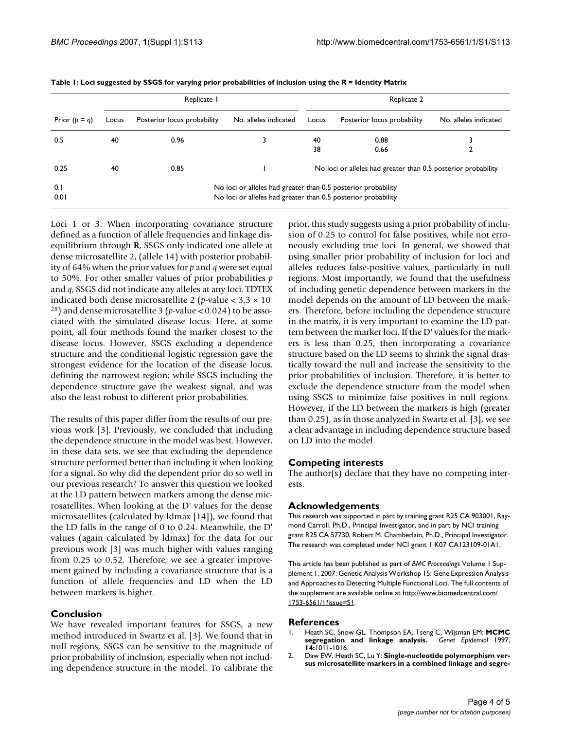|                 | Replicate I |                                                                                                                                |                       | Replicate 2                                                   |                             |                       |
|-----------------|-------------|--------------------------------------------------------------------------------------------------------------------------------|-----------------------|---------------------------------------------------------------|-----------------------------|-----------------------|
| Prior $(p = q)$ | Locus       | Posterior locus probability                                                                                                    | No. alleles indicated | Locus                                                         | Posterior locus probability | No. alleles indicated |
| 0.5             | 40          | 0.96                                                                                                                           |                       | 40<br>38                                                      | 0.88<br>0.66                |                       |
| 0.25            | 40          | 0.85                                                                                                                           |                       | No loci or alleles had greater than 0.5 posterior probability |                             |                       |
| 0.1<br>0.01     |             | No loci or alleles had greater than 0.5 posterior probability<br>No loci or alleles had greater than 0.5 posterior probability |                       |                                                               |                             |                       |

| Table I: Loci suggested by SSGS for varying prior probabilities of inclusion using the R = Identity Matrix |  |  |  |
|------------------------------------------------------------------------------------------------------------|--|--|--|
|------------------------------------------------------------------------------------------------------------|--|--|--|

Loci 1 or 3. When incorporating covariance structure defined as a function of allele frequencies and linkage disequilibrium through **R**, SSGS only indicated one allele at dense microsatellite 2, (allele 14) with posterior probability of 64% when the prior values for *p* and *q* were set equal to 50%. For other smaller values of prior probabilities *p* and *q*, SSGS did not indicate any alleles at any loci. TDTEX indicated both dense microsatellite 2 ( $p$ -value <  $3.3 \times 10^{-1}$ 28) and dense microsatellite 3 (*p*-value < 0.024) to be associated with the simulated disease locus. Here, at some point, all four methods found the marker closest to the disease locus. However, SSGS excluding a dependence structure and the conditional logistic regression gave the strongest evidence for the location of the disease locus, defining the narrowest region; while SSGS including the dependence structure gave the weakest signal, and was also the least robust to different prior probabilities.

The results of this paper differ from the results of our previous work [3]. Previously, we concluded that including the dependence structure in the model was best. However, in these data sets, we see that excluding the dependence structure performed better than including it when looking for a signal. So why did the dependent prior do so well in our previous research? To answer this question we looked at the LD pattern between markers among the dense microsatellites. When looking at the D' values for the dense microsatellites (calculated by ldmax [14]), we found that the LD falls in the range of 0 to 0.24. Meanwhile, the D' values (again calculated by ldmax) for the data for our previous work [3] was much higher with values ranging from 0.25 to 0.52. Therefore, we see a greater improvement gained by including a covariance structure that is a function of allele frequencies and LD when the LD between markers is higher.

# **Conclusion**

We have revealed important features for SSGS, a new method introduced in Swartz et al. [3]. We found that in null regions, SSGS can be sensitive to the magnitude of prior probability of inclusion, especially when not including dependence structure in the model. To calibrate the prior, this study suggests using a prior probability of inclusion of 0.25 to control for false positives, while not erroneously excluding true loci. In general, we showed that using smaller prior probability of inclusion for loci and alleles reduces false-positive values, particularly in null regions. Most importantly, we found that the usefulness of including genetic dependence between markers in the model depends on the amount of LD between the markers. Therefore, before including the dependence structure in the matrix, it is very important to examine the LD pattern between the marker loci. If the D' values for the markers is less than 0.25, then incorporating a covariance structure based on the LD seems to shrink the signal drastically toward the null and increase the sensitivity to the prior probabilities of inclusion. Therefore, it is better to exclude the dependence structure from the model when using SSGS to minimize false positives in null regions. However, if the LD between the markers is high (greater than 0.25), as in those analyzed in Swartz et al. [3], we see a clear advantage in including dependence structure based on LD into the model.

# **Competing interests**

The author(s) declare that they have no competing interests.

# **Acknowledgements**

This research was supported in part by training grant R25 CA 903001, Raymond Carroll, Ph.D., Principal Investigator, and in part by NCI training grant R25 CA 57730, Robert M. Chamberlain, Ph.D., Principal Investigator. The research was completed under NCI grant 1 K07 CA123109-01A1.

This article has been published as part of *BMC Proceedings* Volume 1 Supplement 1, 2007: Genetic Analysis Workshop 15: Gene Expression Analysis and Approaches to Detecting Multiple Functional Loci. The full contents of the supplement are available online at [http://www.biomedcentral.com/](http://www.biomedcentral.com/1753-6561/1?issue=S1) [1753-6561/1?issue=S1.](http://www.biomedcentral.com/1753-6561/1?issue=S1)

#### **References**

- 1. Heath SC, Snow GL, Thompson EA, Tseng C, Wijsman EM: **[MCMC](http://www.ncbi.nlm.nih.gov/entrez/query.fcgi?cmd=Retrieve&db=PubMed&dopt=Abstract&list_uids=9433616) [segregation and linkage analysis.](http://www.ncbi.nlm.nih.gov/entrez/query.fcgi?cmd=Retrieve&db=PubMed&dopt=Abstract&list_uids=9433616)** *Genet Epidemiol* 1997, **14:**1011-1016.
- 2. Daw EW, Heath SC, Lu Y: **[Single-nucleotide polymorphism ver](http://www.ncbi.nlm.nih.gov/entrez/query.fcgi?cmd=Retrieve&db=PubMed&dopt=Abstract&list_uids=16451642)[sus microsatellite markers in a combined linkage and segre](http://www.ncbi.nlm.nih.gov/entrez/query.fcgi?cmd=Retrieve&db=PubMed&dopt=Abstract&list_uids=16451642)-**